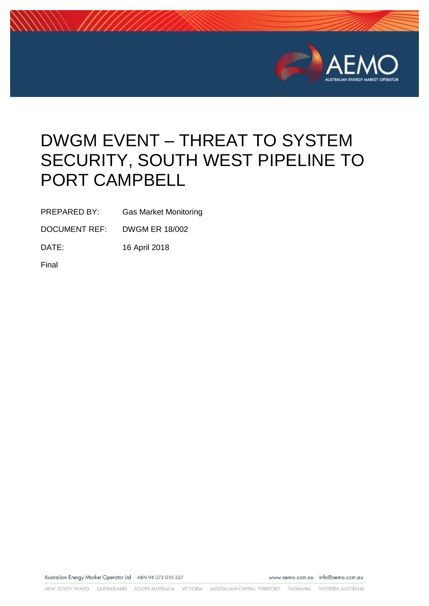

# DWGM EVENT – THREAT TO SYSTEM SECURITY, SOUTH WEST PIPELINE TO PORT CAMPBELL

PREPARED BY: Gas Market Monitoring

DOCUMENT REF: DWGM ER 18/002

DATE: 16 April 2018

Final

Australian Energy Market Operator Ltd ABN 94 072 010 327

www.aemo.com.au info@aemo.com.au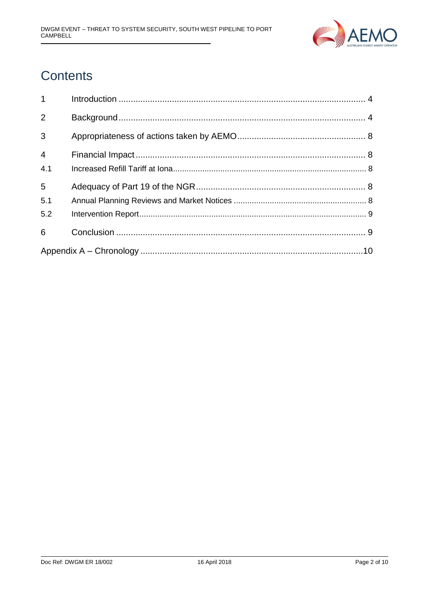

## **Contents**

| $1 \quad \blacksquare$ |  |  |  |
|------------------------|--|--|--|
| 2                      |  |  |  |
| 3                      |  |  |  |
| $\overline{4}$<br>4.1  |  |  |  |
| 5                      |  |  |  |
| 5.1                    |  |  |  |
| 5.2                    |  |  |  |
| 6                      |  |  |  |
|                        |  |  |  |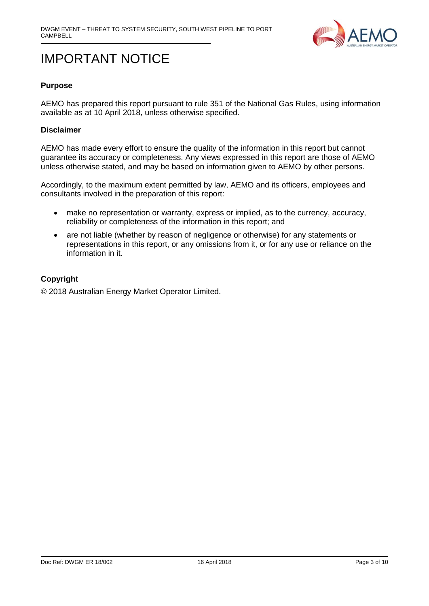

## IMPORTANT NOTICE

#### **Purpose**

AEMO has prepared this report pursuant to rule 351 of the National Gas Rules, using information available as at 10 April 2018, unless otherwise specified.

#### **Disclaimer**

AEMO has made every effort to ensure the quality of the information in this report but cannot guarantee its accuracy or completeness. Any views expressed in this report are those of AEMO unless otherwise stated, and may be based on information given to AEMO by other persons.

Accordingly, to the maximum extent permitted by law, AEMO and its officers, employees and consultants involved in the preparation of this report:

- make no representation or warranty, express or implied, as to the currency, accuracy, reliability or completeness of the information in this report; and
- are not liable (whether by reason of negligence or otherwise) for any statements or representations in this report, or any omissions from it, or for any use or reliance on the information in it.

#### **Copyright**

© 2018 Australian Energy Market Operator Limited.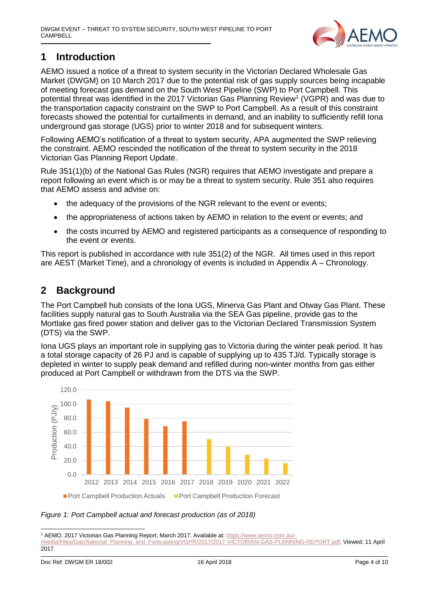

## <span id="page-3-0"></span>**1 Introduction**

AEMO issued a notice of a threat to system security in the Victorian Declared Wholesale Gas Market (DWGM) on 10 March 2017 due to the potential risk of gas supply sources being incapable of meeting forecast gas demand on the South West Pipeline (SWP) to Port Campbell. This potential threat was identified in the 2017 Victorian Gas Planning Review<sup>1</sup> (VGPR) and was due to the transportation capacity constraint on the SWP to Port Campbell. As a result of this constraint forecasts showed the potential for curtailments in demand, and an inability to sufficiently refill Iona underground gas storage (UGS) prior to winter 2018 and for subsequent winters.

Following AEMO's notification of a threat to system security, APA augmented the SWP relieving the constraint. AEMO rescinded the notification of the threat to system security in the 2018 Victorian Gas Planning Report Update.

Rule 351(1)(b) of the National Gas Rules (NGR) requires that AEMO investigate and prepare a report following an event which is or may be a threat to system security. Rule 351 also requires that AEMO assess and advise on:

- the adequacy of the provisions of the NGR relevant to the event or events;
- the appropriateness of actions taken by AEMO in relation to the event or events; and
- the costs incurred by AEMO and registered participants as a consequence of responding to the event or events.

This report is published in accordance with rule 351(2) of the NGR. All times used in this report are AEST (Market Time), and a chronology of events is included in [Appendix A –](#page-9-0) Chronology.

### <span id="page-3-1"></span>**2 Background**

The Port Campbell hub consists of the Iona UGS, Minerva Gas Plant and Otway Gas Plant. These facilities supply natural gas to South Australia via the SEA Gas pipeline, provide gas to the Mortlake gas fired power station and deliver gas to the Victorian Declared Transmission System (DTS) via the SWP.

Iona UGS plays an important role in supplying gas to Victoria during the winter peak period. It has a total storage capacity of 26 PJ and is capable of supplying up to 435 TJ/d. Typically storage is depleted in winter to supply peak demand and refilled during non-winter months from gas either produced at Port Campbell or withdrawn from the DTS via the SWP.



*Figure 1: Port Campbell actual and forecast production (as of 2018)*

<sup>-</sup><sup>1</sup> AEMO. 2017 Victorian Gas Planning Report, March 2017. Available at: [https://www.aemo.com.au/-](https://www.aemo.com.au/-/media/Files/Gas/National_Planning_and_Forecasting/VGPR/2017/2017-VICTORIAN-GAS-PLANNING-REPORT.pdf)

[<sup>/</sup>media/Files/Gas/National\\_Planning\\_and\\_Forecasting/VGPR/2017/2017-VICTORIAN-GAS-PLANNING-REPORT.pdf.](https://www.aemo.com.au/-/media/Files/Gas/National_Planning_and_Forecasting/VGPR/2017/2017-VICTORIAN-GAS-PLANNING-REPORT.pdf) Viewed: 11 April 2017.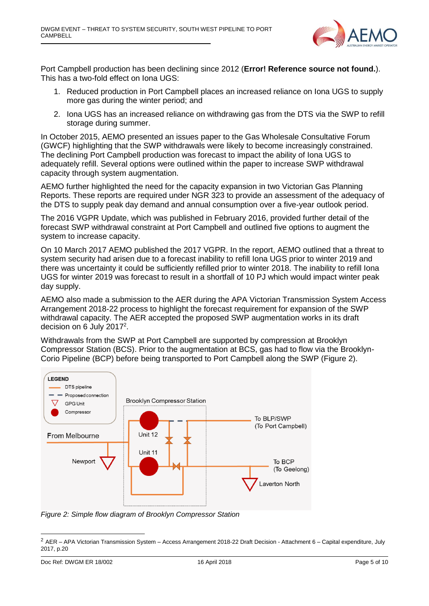

Port Campbell production has been declining since 2012 (**Error! Reference source not found.**). This has a two-fold effect on Iona UGS:

- 1. Reduced production in Port Campbell places an increased reliance on Iona UGS to supply more gas during the winter period; and
- 2. Iona UGS has an increased reliance on withdrawing gas from the DTS via the SWP to refill storage during summer.

In October 2015, AEMO presented an issues paper to the Gas Wholesale Consultative Forum (GWCF) highlighting that the SWP withdrawals were likely to become increasingly constrained. The declining Port Campbell production was forecast to impact the ability of Iona UGS to adequately refill. Several options were outlined within the paper to increase SWP withdrawal capacity through system augmentation.

AEMO further highlighted the need for the capacity expansion in two Victorian Gas Planning Reports. These reports are required under NGR 323 to provide an assessment of the adequacy of the DTS to supply peak day demand and annual consumption over a five-year outlook period.

The 2016 VGPR Update, which was published in February 2016, provided further detail of the forecast SWP withdrawal constraint at Port Campbell and outlined five options to augment the system to increase capacity.

On 10 March 2017 AEMO published the 2017 VGPR. In the report, AEMO outlined that a threat to system security had arisen due to a forecast inability to refill Iona UGS prior to winter 2019 and there was uncertainty it could be sufficiently refilled prior to winter 2018. The inability to refill Iona UGS for winter 2019 was forecast to result in a shortfall of 10 PJ which would impact winter peak day supply.

AEMO also made a submission to the AER during the APA Victorian Transmission System Access Arrangement 2018-22 process to highlight the forecast requirement for expansion of the SWP withdrawal capacity. The AER accepted the proposed SWP augmentation works in its draft decision on 6 July 2017 $2$ .

Withdrawals from the SWP at Port Campbell are supported by compression at Brooklyn Compressor Station (BCS). Prior to the augmentation at BCS, gas had to flow via the Brooklyn-Corio Pipeline (BCP) before being transported to Port Campbell along the SWP [\(Figure 2\)](#page-4-0).



<span id="page-4-0"></span>*Figure 2: Simple flow diagram of Brooklyn Compressor Station*

-

<sup>2</sup> AER – APA Victorian Transmission System – Access Arrangement 2018-22 Draft Decision - Attachment 6 – Capital expenditure, July 2017, p.20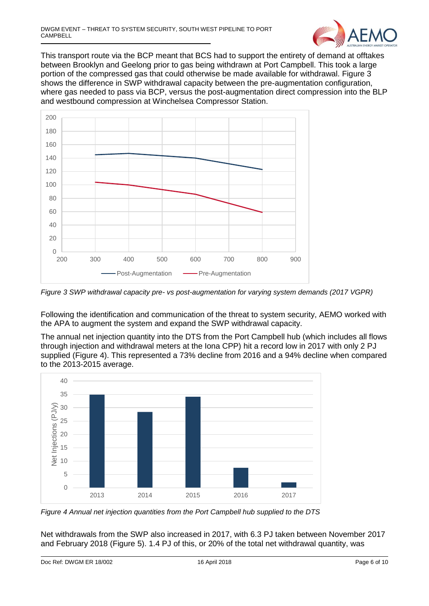

This transport route via the BCP meant that BCS had to support the entirety of demand at offtakes between Brooklyn and Geelong prior to gas being withdrawn at Port Campbell. This took a large portion of the compressed gas that could otherwise be made available for withdrawal. [Figure 3](#page-5-0) shows the difference in SWP withdrawal capacity between the pre-augmentation configuration, where gas needed to pass via BCP, versus the post-augmentation direct compression into the BLP and westbound compression at Winchelsea Compressor Station.



<span id="page-5-0"></span>*Figure 3 SWP withdrawal capacity pre- vs post-augmentation for varying system demands (2017 VGPR)*

Following the identification and communication of the threat to system security, AEMO worked with the APA to augment the system and expand the SWP withdrawal capacity.

The annual net injection quantity into the DTS from the Port Campbell hub (which includes all flows through injection and withdrawal meters at the Iona CPP) hit a record low in 2017 with only 2 PJ supplied [\(Figure 4\)](#page-5-1). This represented a 73% decline from 2016 and a 94% decline when compared to the 2013-2015 average.



<span id="page-5-1"></span>*Figure 4 Annual net injection quantities from the Port Campbell hub supplied to the DTS*

Net withdrawals from the SWP also increased in 2017, with 6.3 PJ taken between November 2017 and February 2018 [\(Figure 5\)](#page-6-0). 1.4 PJ of this, or 20% of the total net withdrawal quantity, was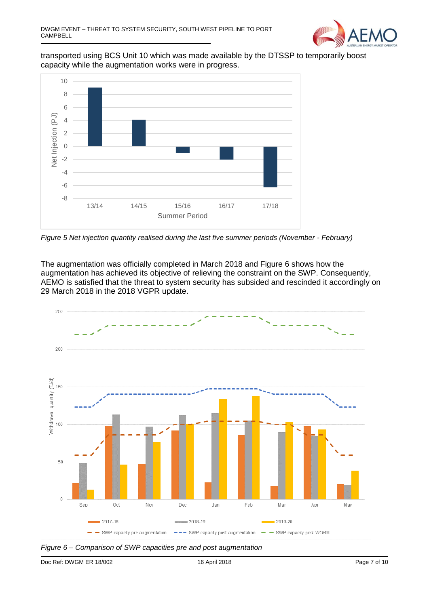

transported using BCS Unit 10 which was made available by the DTSSP to temporarily boost capacity while the augmentation works were in progress.



<span id="page-6-0"></span>*Figure 5 Net injection quantity realised during the last five summer periods (November - February)*

The augmentation was officially completed in March 2018 and Figure 6 shows how the augmentation has achieved its objective of relieving the constraint on the SWP. Consequently, AEMO is satisfied that the threat to system security has subsided and rescinded it accordingly on 29 March 2018 in the 2018 VGPR update.



*Figure 6 – Comparison of SWP capacities pre and post augmentation*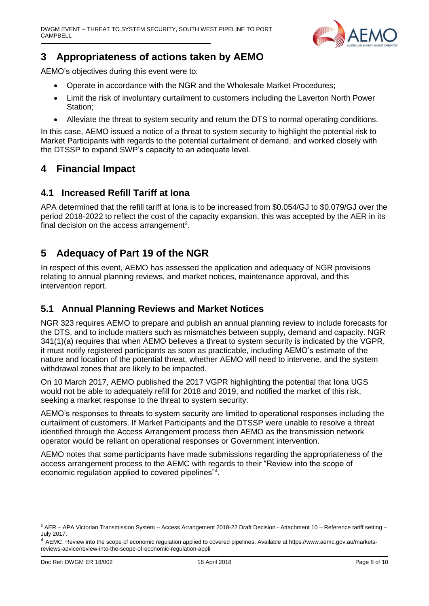

### <span id="page-7-0"></span>**3 Appropriateness of actions taken by AEMO**

AEMO's objectives during this event were to:

- Operate in accordance with the NGR and the Wholesale Market Procedures;
- Limit the risk of involuntary curtailment to customers including the Laverton North Power Station;
- Alleviate the threat to system security and return the DTS to normal operating conditions.

In this case, AEMO issued a notice of a threat to system security to highlight the potential risk to Market Participants with regards to the potential curtailment of demand, and worked closely with the DTSSP to expand SWP's capacity to an adequate level.

### <span id="page-7-1"></span>**4 Financial Impact**

#### <span id="page-7-2"></span>**4.1 Increased Refill Tariff at Iona**

APA determined that the refill tariff at Iona is to be increased from \$0.054/GJ to \$0.079/GJ over the period 2018-2022 to reflect the cost of the capacity expansion, this was accepted by the AER in its final decision on the access arrangement<sup>3</sup>.

### <span id="page-7-3"></span>**5 Adequacy of Part 19 of the NGR**

In respect of this event, AEMO has assessed the application and adequacy of NGR provisions relating to annual planning reviews, and market notices, maintenance approval, and this intervention report.

#### <span id="page-7-4"></span>**5.1 Annual Planning Reviews and Market Notices**

NGR 323 requires AEMO to prepare and publish an annual planning review to include forecasts for the DTS, and to include matters such as mismatches between supply, demand and capacity. NGR 341(1)(a) requires that when AEMO believes a threat to system security is indicated by the VGPR, it must notify registered participants as soon as practicable, including AEMO's estimate of the nature and location of the potential threat, whether AEMO will need to intervene, and the system withdrawal zones that are likely to be impacted.

On 10 March 2017, AEMO published the 2017 VGPR highlighting the potential that Iona UGS would not be able to adequately refill for 2018 and 2019, and notified the market of this risk, seeking a market response to the threat to system security.

AEMO's responses to threats to system security are limited to operational responses including the curtailment of customers. If Market Participants and the DTSSP were unable to resolve a threat identified through the Access Arrangement process then AEMO as the transmission network operator would be reliant on operational responses or Government intervention.

AEMO notes that some participants have made submissions regarding the appropriateness of the access arrangement process to the AEMC with regards to their "Review into the scope of economic regulation applied to covered pipelines"<sup>4</sup>.

<sup>-</sup><sup>3</sup> AER – APA Victorian Transmission System – Access Arrangement 2018-22 Draft Decision - Attachment 10 – Reference tariff setting – July 2017.

<sup>4</sup> AEMC, Review into the scope of economic regulation applied to covered pipelines. Available at [https://www.aemc.gov.au/markets](https://www.aemc.gov.au/markets-reviews-advice/review-into-the-scope-of-economic-regulation-appli)[reviews-advice/review-into-the-scope-of-economic-regulation-appli](https://www.aemc.gov.au/markets-reviews-advice/review-into-the-scope-of-economic-regulation-appli)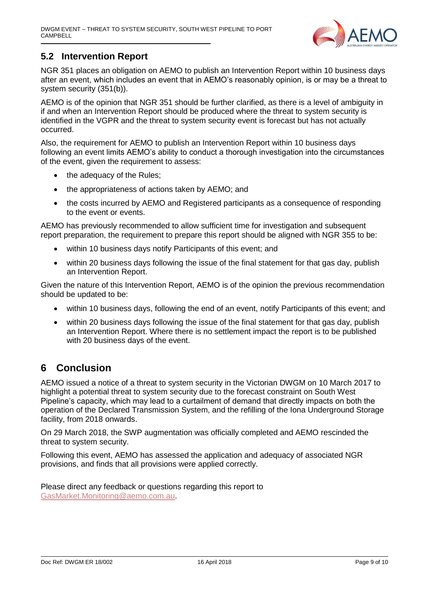

#### <span id="page-8-0"></span>**5.2 Intervention Report**

NGR 351 places an obligation on AEMO to publish an Intervention Report within 10 business days after an event, which includes an event that in AEMO's reasonably opinion, is or may be a threat to system security (351(b)).

AEMO is of the opinion that NGR 351 should be further clarified, as there is a level of ambiguity in if and when an Intervention Report should be produced where the threat to system security is identified in the VGPR and the threat to system security event is forecast but has not actually occurred.

Also, the requirement for AEMO to publish an Intervention Report within 10 business days following an event limits AEMO's ability to conduct a thorough investigation into the circumstances of the event, given the requirement to assess:

- the adequacy of the Rules;
- the appropriateness of actions taken by AEMO; and
- the costs incurred by AEMO and Registered participants as a consequence of responding to the event or events.

AEMO has previously recommended to allow sufficient time for investigation and subsequent report preparation, the requirement to prepare this report should be aligned with NGR 355 to be:

- within 10 business days notify Participants of this event; and
- within 20 business days following the issue of the final statement for that gas day, publish an Intervention Report.

Given the nature of this Intervention Report, AEMO is of the opinion the previous recommendation should be updated to be:

- within 10 business days, following the end of an event, notify Participants of this event; and
- within 20 business days following the issue of the final statement for that gas day, publish an Intervention Report. Where there is no settlement impact the report is to be published with 20 business days of the event.

## <span id="page-8-1"></span>**6 Conclusion**

AEMO issued a notice of a threat to system security in the Victorian DWGM on 10 March 2017 to highlight a potential threat to system security due to the forecast constraint on South West Pipeline's capacity, which may lead to a curtailment of demand that directly impacts on both the operation of the Declared Transmission System, and the refilling of the Iona Underground Storage facility, from 2018 onwards.

On 29 March 2018, the SWP augmentation was officially completed and AEMO rescinded the threat to system security.

Following this event, AEMO has assessed the application and adequacy of associated NGR provisions, and finds that all provisions were applied correctly.

Please direct any feedback or questions regarding this report to [GasMarket.Monitoring@aemo.com.au.](mailto:GasMarket.Monitoring@aemo.com.au)